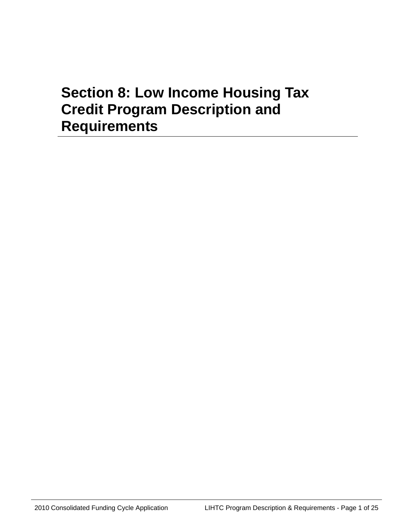# **Section 8: Low Income Housing Tax Credit Program Description and Requirements**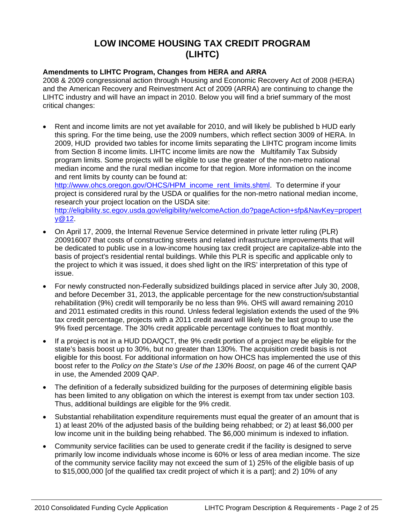# **LOW INCOME HOUSING TAX CREDIT PROGRAM (LIHTC)**

# **Amendments to LIHTC Program, Changes from HERA and ARRA**

2008 & 2009 congressional action through Housing and Economic Recovery Act of 2008 (HERA) and the American Recovery and Reinvestment Act of 2009 (ARRA) are continuing to change the LIHTC industry and will have an impact in 2010. Below you will find a brief summary of the most critical changes:

• Rent and income limits are not yet available for 2010, and will likely be published b HUD early this spring. For the time being, use the 2009 numbers, which reflect section 3009 of HERA. In 2009, HUD provided two tables for income limits separating the LIHTC program income limits from Section 8 income limits. LIHTC income limits are now the Multifamily Tax Subsidy program limits. Some projects will be eligible to use the greater of the non-metro national median income and the rural median income for that region. More information on the income and rent limits by county can be found at: [http://www.ohcs.oregon.gov/OHCS/HPM\\_income\\_rent\\_limits.shtml](http://www.ohcs.oregon.gov/OHCS/HPM_income_rent_limits.shtml). To determine if your

project is considered rural by the USDA or qualifies for the non-metro national median income, research your project location on the USDA site: [http://eligibility.sc.egov.usda.gov/eligibility/welcomeAction.do?pageAction+sfp&NavKey=propert](http://eligibility.sc.egov.usda.gov/eligibility/welcomeAction.do?pageAction+sfp&NavKey=property@12) [y@12.](http://eligibility.sc.egov.usda.gov/eligibility/welcomeAction.do?pageAction+sfp&NavKey=property@12)

- On April 17, 2009, the Internal Revenue Service determined in private letter ruling (PLR) 200916007 that costs of constructing streets and related infrastructure improvements that will be dedicated to public use in a low-income housing tax credit project are capitalize-able into the basis of project's residential rental buildings. While this PLR is specific and applicable only to the project to which it was issued, it does shed light on the IRS' interpretation of this type of issue.
- For newly constructed non-Federally subsidized buildings placed in service after July 30, 2008, and before December 31, 2013, the applicable percentage for the new construction/substantial rehabilitation (9%) credit will temporarily be no less than 9%. OHS will award remaining 2010 and 2011 estimated credits in this round. Unless federal legislation extends the used of the 9% tax credit percentage, projects with a 2011 credit award will likely be the last group to use the 9% fixed percentage. The 30% credit applicable percentage continues to float monthly.
- If a project is not in a HUD DDA/QCT, the 9% credit portion of a project may be eligible for the state's basis boost up to 30%, but no greater than 130%. The acquisition credit basis is not eligible for this boost. For additional information on how OHCS has implemented the use of this boost refer to the *Policy on the State's Use of the 130% Boost*, on page 46 of the current QAP in use, the Amended 2009 QAP.
- The definition of a federally subsidized building for the purposes of determining eligible basis has been limited to any obligation on which the interest is exempt from tax under section 103. Thus, additional buildings are eligible for the 9% credit.
- Substantial rehabilitation expenditure requirements must equal the greater of an amount that is 1) at least 20% of the adjusted basis of the building being rehabbed; or 2) at least \$6,000 per low income unit in the building being rehabbed. The \$6,000 minimum is indexed to inflation.
- Community service facilities can be used to generate credit if the facility is designed to serve primarily low income individuals whose income is 60% or less of area median income. The size of the community service facility may not exceed the sum of 1) 25% of the eligible basis of up to \$15,000,000 [of the qualified tax credit project of which it is a part]; and 2) 10% of any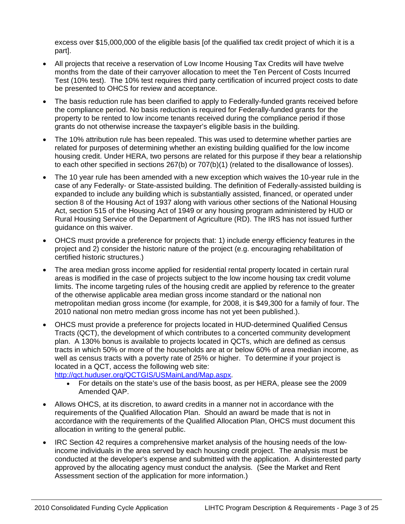excess over \$15,000,000 of the eligible basis [of the qualified tax credit project of which it is a part].

- All projects that receive a reservation of Low Income Housing Tax Credits will have twelve months from the date of their carryover allocation to meet the Ten Percent of Costs Incurred Test (10% test). The 10% test requires third party certification of incurred project costs to date be presented to OHCS for review and acceptance.
- The basis reduction rule has been clarified to apply to Federally-funded grants received before the compliance period. No basis reduction is required for Federally-funded grants for the property to be rented to low income tenants received during the compliance period if those grants do not otherwise increase the taxpayer's eligible basis in the building.
- The 10% attribution rule has been repealed. This was used to determine whether parties are related for purposes of determining whether an existing building qualified for the low income housing credit. Under HERA, two persons are related for this purpose if they bear a relationship to each other specified in sections 267(b) or 707(b)(1) (related to the disallowance of losses).
- The 10 year rule has been amended with a new exception which waives the 10-year rule in the case of any Federally- or State-assisted building. The definition of Federally-assisted building is expanded to include any building which is substantially assisted, financed, or operated under section 8 of the Housing Act of 1937 along with various other sections of the National Housing Act, section 515 of the Housing Act of 1949 or any housing program administered by HUD or Rural Housing Service of the Department of Agriculture (RD). The IRS has not issued further guidance on this waiver.
- OHCS must provide a preference for projects that: 1) include energy efficiency features in the project and 2) consider the historic nature of the project (e.g. encouraging rehabilitation of certified historic structures.)
- The area median gross income applied for residential rental property located in certain rural areas is modified in the case of projects subject to the low income housing tax credit volume limits. The income targeting rules of the housing credit are applied by reference to the greater of the otherwise applicable area median gross income standard or the national non metropolitan median gross income (for example, for 2008, it is \$49,300 for a family of four. The 2010 national non metro median gross income has not yet been published.).
- OHCS must provide a preference for projects located in HUD-determined Qualified Census Tracts (QCT), the development of which contributes to a concerted community development plan. A 130% bonus is available to projects located in QCTs, which are defined as census tracts in which 50% or more of the households are at or below 60% of area median income, as well as census tracts with a poverty rate of 25% or higher. To determine if your project is located in a QCT, access the following web site:

<http://qct.huduser.org/QCTGIS/USMainLand/Map.aspx>.

- For details on the state's use of the basis boost, as per HERA, please see the 2009 Amended QAP.
- Allows OHCS, at its discretion, to award credits in a manner not in accordance with the requirements of the Qualified Allocation Plan. Should an award be made that is not in accordance with the requirements of the Qualified Allocation Plan, OHCS must document this allocation in writing to the general public.
- IRC Section 42 requires a comprehensive market analysis of the housing needs of the lowincome individuals in the area served by each housing credit project. The analysis must be conducted at the developer's expense and submitted with the application. A disinterested party approved by the allocating agency must conduct the analysis*.* (See the Market and Rent Assessment section of the application for more information.)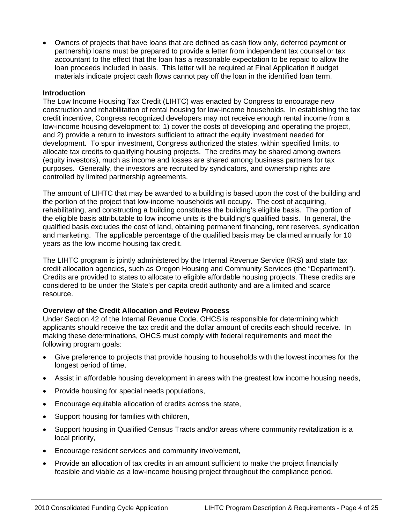• Owners of projects that have loans that are defined as cash flow only, deferred payment or partnership loans must be prepared to provide a letter from independent tax counsel or tax accountant to the effect that the loan has a reasonable expectation to be repaid to allow the loan proceeds included in basis. This letter will be required at Final Application if budget materials indicate project cash flows cannot pay off the loan in the identified loan term.

#### **Introduction**

The Low Income Housing Tax Credit (LIHTC) was enacted by Congress to encourage new construction and rehabilitation of rental housing for low-income households. In establishing the tax credit incentive, Congress recognized developers may not receive enough rental income from a low-income housing development to: 1) cover the costs of developing and operating the project, and 2) provide a return to investors sufficient to attract the equity investment needed for development. To spur investment, Congress authorized the states, within specified limits, to allocate tax credits to qualifying housing projects. The credits may be shared among owners (equity investors), much as income and losses are shared among business partners for tax purposes. Generally, the investors are recruited by syndicators, and ownership rights are controlled by limited partnership agreements.

The amount of LIHTC that may be awarded to a building is based upon the cost of the building and the portion of the project that low-income households will occupy. The cost of acquiring, rehabilitating, and constructing a building constitutes the building's eligible basis. The portion of the eligible basis attributable to low income units is the building's qualified basis. In general, the qualified basis excludes the cost of land, obtaining permanent financing, rent reserves, syndication and marketing. The applicable percentage of the qualified basis may be claimed annually for 10 years as the low income housing tax credit.

The LIHTC program is jointly administered by the Internal Revenue Service (IRS) and state tax credit allocation agencies, such as Oregon Housing and Community Services (the "Department"). Credits are provided to states to allocate to eligible affordable housing projects. These credits are considered to be under the State's per capita credit authority and are a limited and scarce resource.

#### **Overview of the Credit Allocation and Review Process**

Under Section 42 of the Internal Revenue Code, OHCS is responsible for determining which applicants should receive the tax credit and the dollar amount of credits each should receive. In making these determinations, OHCS must comply with federal requirements and meet the following program goals:

- Give preference to projects that provide housing to households with the lowest incomes for the longest period of time,
- Assist in affordable housing development in areas with the greatest low income housing needs,
- Provide housing for special needs populations,
- Encourage equitable allocation of credits across the state,
- Support housing for families with children,
- Support housing in Qualified Census Tracts and/or areas where community revitalization is a local priority,
- Encourage resident services and community involvement,
- Provide an allocation of tax credits in an amount sufficient to make the project financially feasible and viable as a low-income housing project throughout the compliance period.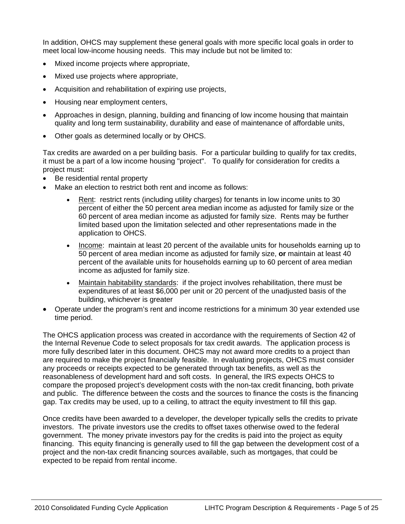In addition, OHCS may supplement these general goals with more specific local goals in order to meet local low-income housing needs. This may include but not be limited to:

- Mixed income projects where appropriate,
- Mixed use projects where appropriate,
- Acquisition and rehabilitation of expiring use projects,
- Housing near employment centers,
- Approaches in design, planning, building and financing of low income housing that maintain quality and long term sustainability, durability and ease of maintenance of affordable units,
- Other goals as determined locally or by OHCS.

Tax credits are awarded on a per building basis. For a particular building to qualify for tax credits, it must be a part of a low income housing "project". To qualify for consideration for credits a project must:

- Be residential rental property
- Make an election to restrict both rent and income as follows:
	- Rent: restrict rents (including utility charges) for tenants in low income units to 30 percent of either the 50 percent area median income as adjusted for family size or the 60 percent of area median income as adjusted for family size. Rents may be further limited based upon the limitation selected and other representations made in the application to OHCS.
	- Income: maintain at least 20 percent of the available units for households earning up to 50 percent of area median income as adjusted for family size, **or** maintain at least 40 percent of the available units for households earning up to 60 percent of area median income as adjusted for family size.
	- Maintain habitability standards: if the project involves rehabilitation, there must be expenditures of at least \$6,000 per unit or 20 percent of the unadjusted basis of the building, whichever is greater
- Operate under the program's rent and income restrictions for a minimum 30 year extended use time period.

The OHCS application process was created in accordance with the requirements of Section 42 of the Internal Revenue Code to select proposals for tax credit awards. The application process is more fully described later in this document. OHCS may not award more credits to a project than are required to make the project financially feasible. In evaluating projects, OHCS must consider any proceeds or receipts expected to be generated through tax benefits, as well as the reasonableness of development hard and soft costs. In general, the IRS expects OHCS to compare the proposed project's development costs with the non-tax credit financing, both private and public. The difference between the costs and the sources to finance the costs is the financing gap. Tax credits may be used, up to a ceiling, to attract the equity investment to fill this gap.

Once credits have been awarded to a developer, the developer typically sells the credits to private investors. The private investors use the credits to offset taxes otherwise owed to the federal government. The money private investors pay for the credits is paid into the project as equity financing. This equity financing is generally used to fill the gap between the development cost of a project and the non-tax credit financing sources available, such as mortgages, that could be expected to be repaid from rental income.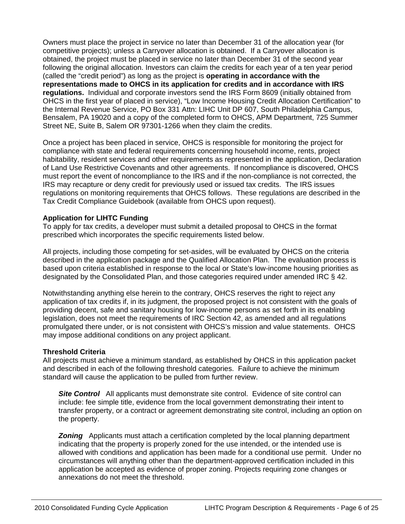Owners must place the project in service no later than December 31 of the allocation year (for competitive projects); unless a Carryover allocation is obtained. If a Carryover allocation is obtained, the project must be placed in service no later than December 31 of the second year following the original allocation. Investors can claim the credits for each year of a ten year period (called the "credit period") as long as the project is **operating in accordance with the representations made to OHCS in its application for credits and in accordance with IRS regulations.** Individual and corporate investors send the IRS Form 8609 (initially obtained from OHCS in the first year of placed in service), "Low Income Housing Credit Allocation Certification" to the Internal Revenue Service, PO Box 331 Attn: LIHC Unit DP 607, South Philadelphia Campus, Bensalem, PA 19020 and a copy of the completed form to OHCS, APM Department, 725 Summer Street NE, Suite B, Salem OR 97301-1266 when they claim the credits.

Once a project has been placed in service, OHCS is responsible for monitoring the project for compliance with state and federal requirements concerning household income, rents, project habitability, resident services and other requirements as represented in the application, Declaration of Land Use Restrictive Covenants and other agreements. If noncompliance is discovered, OHCS must report the event of noncompliance to the IRS and if the non-compliance is not corrected, the IRS may recapture or deny credit for previously used or issued tax credits. The IRS issues regulations on monitoring requirements that OHCS follows. These regulations are described in the Tax Credit Compliance Guidebook (available from OHCS upon request).

#### **Application for LIHTC Funding**

To apply for tax credits, a developer must submit a detailed proposal to OHCS in the format prescribed which incorporates the specific requirements listed below.

All projects, including those competing for set-asides, will be evaluated by OHCS on the criteria described in the application package and the Qualified Allocation Plan. The evaluation process is based upon criteria established in response to the local or State's low-income housing priorities as designated by the Consolidated Plan, and those categories required under amended IRC § 42.

Notwithstanding anything else herein to the contrary, OHCS reserves the right to reject any application of tax credits if, in its judgment, the proposed project is not consistent with the goals of providing decent, safe and sanitary housing for low-income persons as set forth in its enabling legislation, does not meet the requirements of IRC Section 42, as amended and all regulations promulgated there under, or is not consistent with OHCS's mission and value statements. OHCS may impose additional conditions on any project applicant.

#### **Threshold Criteria**

All projects must achieve a minimum standard, as established by OHCS in this application packet and described in each of the following threshold categories. Failure to achieve the minimum standard will cause the application to be pulled from further review.

**Site Control** All applicants must demonstrate site control. Evidence of site control can include: fee simple title, evidence from the local government demonstrating their intent to transfer property, or a contract or agreement demonstrating site control, including an option on the property.

**Zoning** Applicants must attach a certification completed by the local planning department indicating that the property is properly zoned for the use intended, or the intended use is allowed with conditions and application has been made for a conditional use permit. Under no circumstances will anything other than the department-approved certification included in this application be accepted as evidence of proper zoning. Projects requiring zone changes or annexations do not meet the threshold.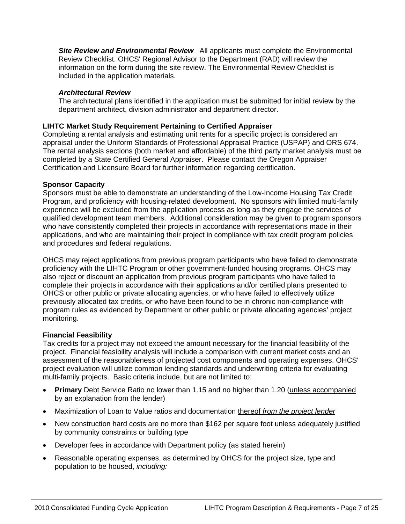**Site Review and Environmental Review** All applicants must complete the Environmental Review Checklist. OHCS' Regional Advisor to the Department (RAD) will review the information on the form during the site review. The Environmental Review Checklist is included in the application materials.

#### *Architectural Review*

The architectural plans identified in the application must be submitted for initial review by the department architect, division administrator and department director.

#### **LIHTC Market Study Requirement Pertaining to Certified Appraiser**

Completing a rental analysis and estimating unit rents for a specific project is considered an appraisal under the Uniform Standards of Professional Appraisal Practice (USPAP) and ORS 674. The rental analysis sections (both market and affordable) of the third party market analysis must be completed by a State Certified General Appraiser. Please contact the Oregon Appraiser Certification and Licensure Board for further information regarding certification.

#### **Sponsor Capacity**

Sponsors must be able to demonstrate an understanding of the Low-Income Housing Tax Credit Program, and proficiency with housing-related development. No sponsors with limited multi-family experience will be excluded from the application process as long as they engage the services of qualified development team members. Additional consideration may be given to program sponsors who have consistently completed their projects in accordance with representations made in their applications, and who are maintaining their project in compliance with tax credit program policies and procedures and federal regulations.

OHCS may reject applications from previous program participants who have failed to demonstrate proficiency with the LIHTC Program or other government-funded housing programs. OHCS may also reject or discount an application from previous program participants who have failed to complete their projects in accordance with their applications and/or certified plans presented to OHCS or other public or private allocating agencies, or who have failed to effectively utilize previously allocated tax credits, or who have been found to be in chronic non-compliance with program rules as evidenced by Department or other public or private allocating agencies' project monitoring.

#### **Financial Feasibility**

Tax credits for a project may not exceed the amount necessary for the financial feasibility of the project. Financial feasibility analysis will include a comparison with current market costs and an assessment of the reasonableness of projected cost components and operating expenses. OHCS' project evaluation will utilize common lending standards and underwriting criteria for evaluating multi-family projects. Basic criteria include, but are not limited to:

- **Primary** Debt Service Ratio no lower than 1.15 and no higher than 1.20 (unless accompanied by an explanation from the lender)
- Maximization of Loan to Value ratios and documentation thereof *from the project lender*
- New construction hard costs are no more than \$162 per square foot unless adequately justified by community constraints or building type
- Developer fees in accordance with Department policy (as stated herein)
- Reasonable operating expenses, as determined by OHCS for the project size, type and population to be housed, *including:*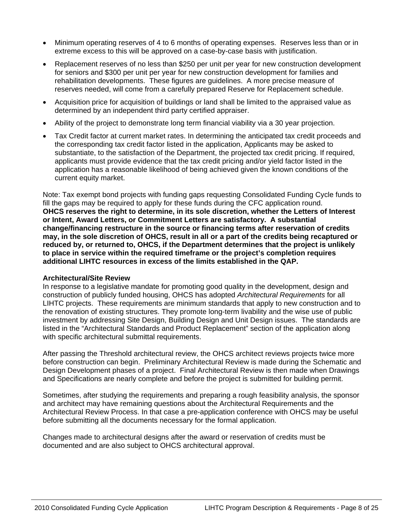- Minimum operating reserves of 4 to 6 months of operating expenses. Reserves less than or in extreme excess to this will be approved on a case-by-case basis with justification.
- Replacement reserves of no less than \$250 per unit per year for new construction development for seniors and \$300 per unit per year for new construction development for families and rehabilitation developments. These figures are guidelines. A more precise measure of reserves needed, will come from a carefully prepared Reserve for Replacement schedule.
- Acquisition price for acquisition of buildings or land shall be limited to the appraised value as determined by an independent third party certified appraiser.
- Ability of the project to demonstrate long term financial viability via a 30 year projection.
- Tax Credit factor at current market rates. In determining the anticipated tax credit proceeds and the corresponding tax credit factor listed in the application, Applicants may be asked to substantiate, to the satisfaction of the Department, the projected tax credit pricing. If required, applicants must provide evidence that the tax credit pricing and/or yield factor listed in the application has a reasonable likelihood of being achieved given the known conditions of the current equity market.

Note: Tax exempt bond projects with funding gaps requesting Consolidated Funding Cycle funds to fill the gaps may be required to apply for these funds during the CFC application round. **OHCS reserves the right to determine, in its sole discretion, whether the Letters of Interest or Intent, Award Letters, or Commitment Letters are satisfactory. A substantial change/financing restructure in the source or financing terms after reservation of credits may, in the sole discretion of OHCS, result in all or a part of the credits being recaptured or reduced by, or returned to, OHCS, if the Department determines that the project is unlikely to place in service within the required timeframe or the project's completion requires additional LIHTC resources in excess of the limits established in the QAP.** 

#### **Architectural/Site Review**

In response to a legislative mandate for promoting good quality in the development, design and construction of publicly funded housing, OHCS has adopted *Architectural Requirements* for all LIHTC projects. These requirements are minimum standards that apply to new construction and to the renovation of existing structures. They promote long-term livability and the wise use of public investment by addressing Site Design, Building Design and Unit Design issues. The standards are listed in the "Architectural Standards and Product Replacement" section of the application along with specific architectural submittal requirements.

After passing the Threshold architectural review, the OHCS architect reviews projects twice more before construction can begin. Preliminary Architectural Review is made during the Schematic and Design Development phases of a project. Final Architectural Review is then made when Drawings and Specifications are nearly complete and before the project is submitted for building permit.

Sometimes, after studying the requirements and preparing a rough feasibility analysis, the sponsor and architect may have remaining questions about the Architectural Requirements and the Architectural Review Process. In that case a pre-application conference with OHCS may be useful before submitting all the documents necessary for the formal application.

Changes made to architectural designs after the award or reservation of credits must be documented and are also subject to OHCS architectural approval.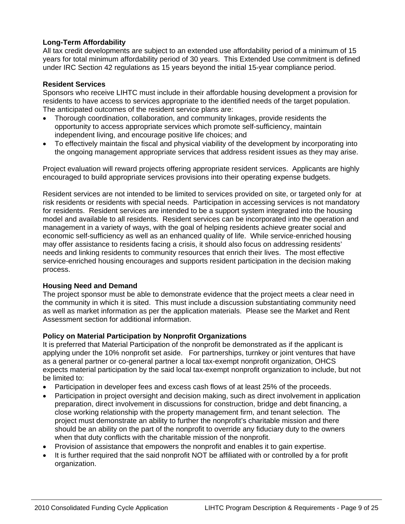# **Long-Term Affordability**

All tax credit developments are subject to an extended use affordability period of a minimum of 15 years for total minimum affordability period of 30 years. This Extended Use commitment is defined under IRC Section 42 regulations as 15 years beyond the initial 15-year compliance period.

# **Resident Services**

Sponsors who receive LIHTC must include in their affordable housing development a provision for residents to have access to services appropriate to the identified needs of the target population. The anticipated outcomes of the resident service plans are:

- Thorough coordination, collaboration, and community linkages, provide residents the opportunity to access appropriate services which promote self-sufficiency, maintain independent living, and encourage positive life choices; and
- To effectively maintain the fiscal and physical viability of the development by incorporating into the ongoing management appropriate services that address resident issues as they may arise.

Project evaluation will reward projects offering appropriate resident services. Applicants are highly encouraged to build appropriate services provisions into their operating expense budgets.

Resident services are not intended to be limited to services provided on site, or targeted only for at risk residents or residents with special needs. Participation in accessing services is not mandatory for residents. Resident services are intended to be a support system integrated into the housing model and available to all residents. Resident services can be incorporated into the operation and management in a variety of ways, with the goal of helping residents achieve greater social and economic self-sufficiency as well as an enhanced quality of life. While service-enriched housing may offer assistance to residents facing a crisis, it should also focus on addressing residents' needs and linking residents to community resources that enrich their lives. The most effective service-enriched housing encourages and supports resident participation in the decision making process.

# **Housing Need and Demand**

The project sponsor must be able to demonstrate evidence that the project meets a clear need in the community in which it is sited. This must include a discussion substantiating community need as well as market information as per the application materials. Please see the Market and Rent Assessment section for additional information.

# **Policy on Material Participation by Nonprofit Organizations**

It is preferred that Material Participation of the nonprofit be demonstrated as if the applicant is applying under the 10% nonprofit set aside. For partnerships, turnkey or joint ventures that have as a general partner or co-general partner a local tax-exempt nonprofit organization, OHCS expects material participation by the said local tax-exempt nonprofit organization to include, but not be limited to:

- Participation in developer fees and excess cash flows of at least 25% of the proceeds.
- Participation in project oversight and decision making, such as direct involvement in application preparation, direct involvement in discussions for construction, bridge and debt financing, a close working relationship with the property management firm, and tenant selection. The project must demonstrate an ability to further the nonprofit's charitable mission and there should be an ability on the part of the nonprofit to override any fiduciary duty to the owners when that duty conflicts with the charitable mission of the nonprofit.
- Provision of assistance that empowers the nonprofit and enables it to gain expertise.
- It is further required that the said nonprofit NOT be affiliated with or controlled by a for profit organization.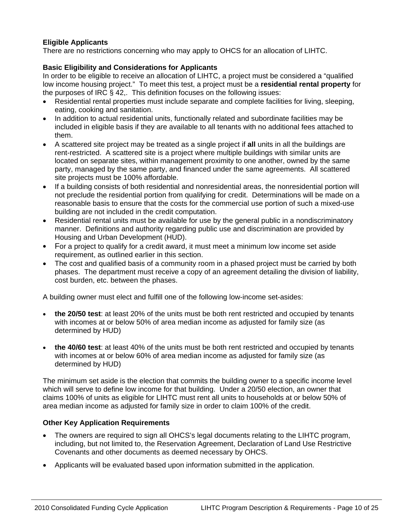# **Eligible Applicants**

There are no restrictions concerning who may apply to OHCS for an allocation of LIHTC.

# **Basic Eligibility and Considerations for Applicants**

In order to be eligible to receive an allocation of LIHTC, a project must be considered a "qualified low income housing project." To meet this test, a project must be a **residential rental property** for the purposes of IRC § 42,. This definition focuses on the following issues:

- Residential rental properties must include separate and complete facilities for living, sleeping, eating, cooking and sanitation.
- In addition to actual residential units, functionally related and subordinate facilities may be included in eligible basis if they are available to all tenants with no additional fees attached to them.
- A scattered site project may be treated as a single project if **all** units in all the buildings are rent-restricted. A scattered site is a project where multiple buildings with similar units are located on separate sites, within management proximity to one another, owned by the same party, managed by the same party, and financed under the same agreements. All scattered site projects must be 100% affordable.
- If a building consists of both residential and nonresidential areas, the nonresidential portion will not preclude the residential portion from qualifying for credit. Determinations will be made on a reasonable basis to ensure that the costs for the commercial use portion of such a mixed-use building are not included in the credit computation.
- Residential rental units must be available for use by the general public in a nondiscriminatory manner. Definitions and authority regarding public use and discrimination are provided by Housing and Urban Development (HUD).
- For a project to qualify for a credit award, it must meet a minimum low income set aside requirement, as outlined earlier in this section.
- The cost and qualified basis of a community room in a phased project must be carried by both phases. The department must receive a copy of an agreement detailing the division of liability, cost burden, etc. between the phases.

A building owner must elect and fulfill one of the following low-income set-asides:

- **the 20/50 test**: at least 20% of the units must be both rent restricted and occupied by tenants with incomes at or below 50% of area median income as adjusted for family size (as determined by HUD)
- **the 40/60 test**: at least 40% of the units must be both rent restricted and occupied by tenants with incomes at or below 60% of area median income as adjusted for family size (as determined by HUD)

The minimum set aside is the election that commits the building owner to a specific income level which will serve to define low income for that building. Under a 20/50 election, an owner that claims 100% of units as eligible for LIHTC must rent all units to households at or below 50% of area median income as adjusted for family size in order to claim 100% of the credit.

# **Other Key Application Requirements**

- The owners are required to sign all OHCS's legal documents relating to the LIHTC program, including, but not limited to, the Reservation Agreement, Declaration of Land Use Restrictive Covenants and other documents as deemed necessary by OHCS.
- Applicants will be evaluated based upon information submitted in the application.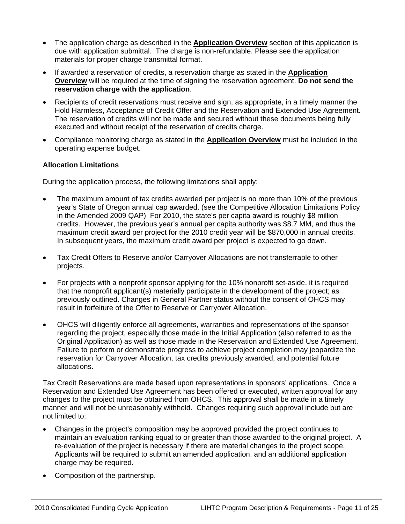- The application charge as described in the **Application Overview** section of this application is due with application submittal. The charge is non-refundable. Please see the application materials for proper charge transmittal format.
- If awarded a reservation of credits, a reservation charge as stated in the **Application Overview** will be required at the time of signing the reservation agreement. **Do not send the reservation charge with the application**.
- Recipients of credit reservations must receive and sign, as appropriate, in a timely manner the Hold Harmless, Acceptance of Credit Offer and the Reservation and Extended Use Agreement. The reservation of credits will not be made and secured without these documents being fully executed and without receipt of the reservation of credits charge.
- Compliance monitoring charge as stated in the **Application Overview** must be included in the operating expense budget.

# **Allocation Limitations**

During the application process, the following limitations shall apply:

- The maximum amount of tax credits awarded per project is no more than 10% of the previous year's State of Oregon annual cap awarded. (see the Competitive Allocation Limitations Policy in the Amended 2009 QAP) For 2010, the state's per capita award is roughly \$8 million credits. However, the previous year's annual per capita authority was \$8.7 MM, and thus the maximum credit award per project for the 2010 credit year will be \$870,000 in annual credits. In subsequent years, the maximum credit award per project is expected to go down.
- Tax Credit Offers to Reserve and/or Carryover Allocations are not transferrable to other projects.
- For projects with a nonprofit sponsor applying for the 10% nonprofit set-aside, it is required that the nonprofit applicant(s) materially participate in the development of the project; as previously outlined. Changes in General Partner status without the consent of OHCS may result in forfeiture of the Offer to Reserve or Carryover Allocation.
- OHCS will diligently enforce all agreements, warranties and representations of the sponsor regarding the project, especially those made in the Initial Application (also referred to as the Original Application) as well as those made in the Reservation and Extended Use Agreement. Failure to perform or demonstrate progress to achieve project completion may jeopardize the reservation for Carryover Allocation, tax credits previously awarded, and potential future allocations.

Tax Credit Reservations are made based upon representations in sponsors' applications. Once a Reservation and Extended Use Agreement has been offered or executed, written approval for any changes to the project must be obtained from OHCS. This approval shall be made in a timely manner and will not be unreasonably withheld. Changes requiring such approval include but are not limited to:

- Changes in the project's composition may be approved provided the project continues to maintain an evaluation ranking equal to or greater than those awarded to the original project. A re-evaluation of the project is necessary if there are material changes to the project scope. Applicants will be required to submit an amended application, and an additional application charge may be required.
- Composition of the partnership.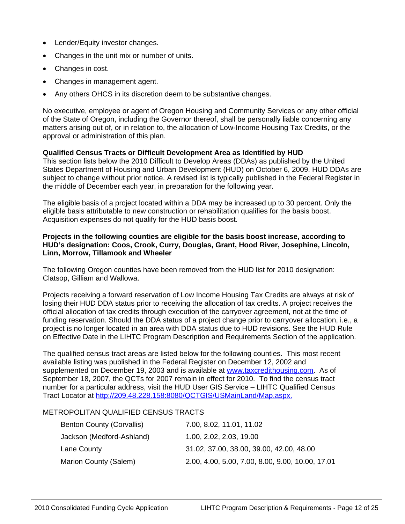- Lender/Equity investor changes.
- Changes in the unit mix or number of units.
- Changes in cost.
- Changes in management agent.
- Any others OHCS in its discretion deem to be substantive changes.

No executive, employee or agent of Oregon Housing and Community Services or any other official of the State of Oregon, including the Governor thereof, shall be personally liable concerning any matters arising out of, or in relation to, the allocation of Low-Income Housing Tax Credits, or the approval or administration of this plan.

#### **Qualified Census Tracts or Difficult Development Area as Identified by HUD**

This section lists below the 2010 Difficult to Develop Areas (DDAs) as published by the United States Department of Housing and Urban Development (HUD) on October 6, 2009. HUD DDAs are subject to change without prior notice. A revised list is typically published in the Federal Register in the middle of December each year, in preparation for the following year.

The eligible basis of a project located within a DDA may be increased up to 30 percent. Only the eligible basis attributable to new construction or rehabilitation qualifies for the basis boost. Acquisition expenses do not qualify for the HUD basis boost.

#### **Projects in the following counties are eligible for the basis boost increase, according to HUD's designation: Coos, Crook, Curry, Douglas, Grant, Hood River, Josephine, Lincoln, Linn, Morrow, Tillamook and Wheeler**

The following Oregon counties have been removed from the HUD list for 2010 designation: Clatsop, Gilliam and Wallowa.

Projects receiving a forward reservation of Low Income Housing Tax Credits are always at risk of losing their HUD DDA status prior to receiving the allocation of tax credits. A project receives the official allocation of tax credits through execution of the carryover agreement, not at the time of funding reservation. Should the DDA status of a project change prior to carryover allocation, i.e., a project is no longer located in an area with DDA status due to HUD revisions. See the HUD Rule on Effective Date in the LIHTC Program Description and Requirements Section of the application.

The qualified census tract areas are listed below for the following counties. This most recent available listing was published in the Federal Register on December 12, 2002 and supplemented on December 19, 2003 and is available at [www.taxcredithousing.com.](http://www.taxcredithousing.com/) As of September 18, 2007, the QCTs for 2007 remain in effect for 2010. To find the census tract number for a particular address, visit the HUD User GIS Service – LIHTC Qualified Census Tract Locator at http://209.48.228.158:8080/QCTGIS/USMainLand/Map.aspx.

# METROPOLITAN QUALIFIED CENSUS TRACTS

| <b>Benton County (Corvallis)</b> | 7.00, 8.02, 11.01, 11.02                         |
|----------------------------------|--------------------------------------------------|
| Jackson (Medford-Ashland)        | 1.00, 2.02, 2.03, 19.00                          |
| Lane County                      | 31.02, 37.00, 38.00, 39.00, 42.00, 48.00         |
| Marion County (Salem)            | 2.00, 4.00, 5.00, 7.00, 8.00, 9.00, 10.00, 17.01 |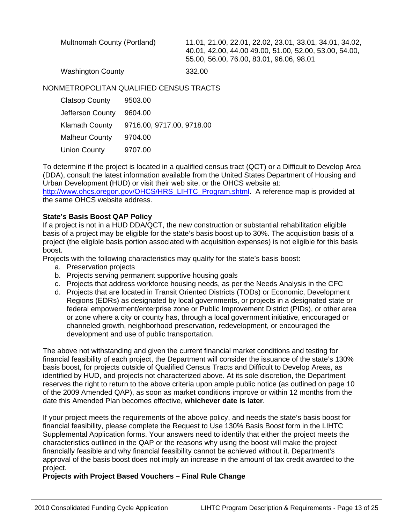| Multnomah County (Portland) | 11.01, 21.00, 22.01, 22.02, 23.01, 33.01, 34.01, 34.02,<br>40.01, 42.00, 44.00 49.00, 51.00, 52.00, 53.00, 54.00,<br>55.00, 56.00, 76.00, 83.01, 96.06, 98.01 |
|-----------------------------|---------------------------------------------------------------------------------------------------------------------------------------------------------------|
| <b>Washington County</b>    | 332.00                                                                                                                                                        |

NONMETROPOLITAN QUALIFIED CENSUS TRACTS

| <b>Clatsop County</b> | 9503.00                   |
|-----------------------|---------------------------|
| Jefferson County      | 9604.00                   |
| <b>Klamath County</b> | 9716.00, 9717.00, 9718.00 |
| <b>Malheur County</b> | 9704.00                   |
| <b>Union County</b>   | 9707.00                   |

To determine if the project is located in a qualified census tract (QCT) or a Difficult to Develop Area (DDA), consult the latest information available from the United States Department of Housing and Urban Development (HUD) or visit their web site, or the OHCS website at:

[http://www.ohcs.oregon.gov/OHCS/HRS\\_LIHTC\\_Program.shtml](http://www.ohcs.oregon.gov/OHCS/HRS_LIHTC_Program.shtml). A reference map is provided at the same OHCS website address.

#### **State's Basis Boost QAP Policy**

If a project is not in a HUD DDA/QCT, the new construction or substantial rehabilitation eligible basis of a project may be eligible for the state's basis boost up to 30%. The acquisition basis of a project (the eligible basis portion associated with acquisition expenses) is not eligible for this basis boost.

Projects with the following characteristics may qualify for the state's basis boost:

- a. Preservation projects
- b. Projects serving permanent supportive housing goals
- c. Projects that address workforce housing needs, as per the Needs Analysis in the CFC
- d. Projects that are located in Transit Oriented Districts (TODs) or Economic, Development Regions (EDRs) as designated by local governments, or projects in a designated state or federal empowerment/enterprise zone or Public Improvement District (PIDs), or other area or zone where a city or county has, through a local government initiative, encouraged or channeled growth, neighborhood preservation, redevelopment, or encouraged the development and use of public transportation.

The above not withstanding and given the current financial market conditions and testing for financial feasibility of each project, the Department will consider the issuance of the state's 130% basis boost, for projects outside of Qualified Census Tracts and Difficult to Develop Areas, as identified by HUD, and projects not characterized above. At its sole discretion, the Department reserves the right to return to the above criteria upon ample public notice (as outlined on page 10 of the 2009 Amended QAP), as soon as market conditions improve or within 12 months from the date this Amended Plan becomes effective, **whichever date is later**.

If your project meets the requirements of the above policy, and needs the state's basis boost for financial feasibility, please complete the Request to Use 130% Basis Boost form in the LIHTC Supplemental Application forms. Your answers need to identify that either the project meets the characteristics outlined in the QAP or the reasons why using the boost will make the project financially feasible and why financial feasibility cannot be achieved without it. Department's approval of the basis boost does not imply an increase in the amount of tax credit awarded to the project.

**Projects with Project Based Vouchers – Final Rule Change**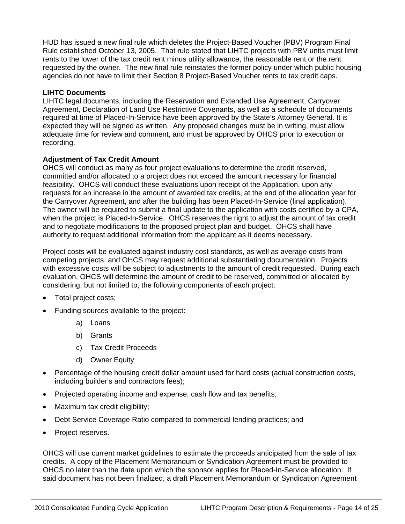HUD has issued a new final rule which deletes the Project-Based Voucher (PBV) Program Final Rule established October 13, 2005. That rule stated that LIHTC projects with PBV units must limit rents to the lower of the tax credit rent minus utility allowance, the reasonable rent or the rent requested by the owner. The new final rule reinstates the former policy under which public housing agencies do not have to limit their Section 8 Project-Based Voucher rents to tax credit caps.

#### **LIHTC Documents**

LIHTC legal documents, including the Reservation and Extended Use Agreement, Carryover Agreement, Declaration of Land Use Restrictive Covenants, as well as a schedule of documents required at time of Placed-In-Service have been approved by the State's Attorney General. It is expected they will be signed as written. Any proposed changes must be in writing, must allow adequate time for review and comment, and must be approved by OHCS prior to execution or recording.

# **Adjustment of Tax Credit Amount**

OHCS will conduct as many as four project evaluations to determine the credit reserved, committed and/or allocated to a project does not exceed the amount necessary for financial feasibility. OHCS will conduct these evaluations upon receipt of the Application, upon any requests for an increase in the amount of awarded tax credits, at the end of the allocation year for the Carryover Agreement, and after the building has been Placed-In-Service (final application). The owner will be required to submit a final update to the application with costs certified by a CPA, when the project is Placed-In-Service. OHCS reserves the right to adjust the amount of tax credit and to negotiate modifications to the proposed project plan and budget. OHCS shall have authority to request additional information from the applicant as it deems necessary.

Project costs will be evaluated against industry cost standards, as well as average costs from competing projects, and OHCS may request additional substantiating documentation. Projects with excessive costs will be subject to adjustments to the amount of credit requested. During each evaluation, OHCS will determine the amount of credit to be reserved, committed or allocated by considering, but not limited to, the following components of each project:

- Total project costs;
- Funding sources available to the project:
	- a) Loans
	- b) Grants
	- c) Tax Credit Proceeds
	- d) Owner Equity
- Percentage of the housing credit dollar amount used for hard costs (actual construction costs, including builder's and contractors fees);
- Projected operating income and expense, cash flow and tax benefits;
- Maximum tax credit eligibility;
- Debt Service Coverage Ratio compared to commercial lending practices; and
- Project reserves.

OHCS will use current market guidelines to estimate the proceeds anticipated from the sale of tax credits. A copy of the Placement Memorandum or Syndication Agreement must be provided to OHCS no later than the date upon which the sponsor applies for Placed-In-Service allocation. If said document has not been finalized, a draft Placement Memorandum or Syndication Agreement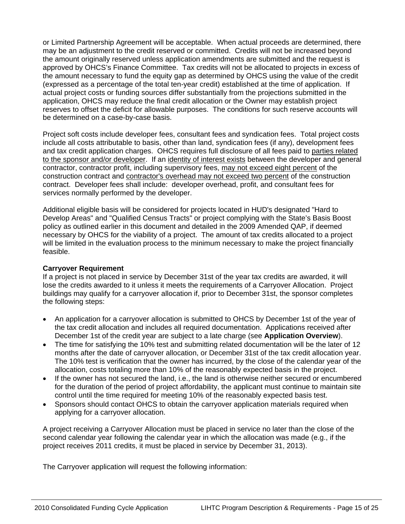or Limited Partnership Agreement will be acceptable. When actual proceeds are determined, there may be an adjustment to the credit reserved or committed. Credits will not be increased beyond the amount originally reserved unless application amendments are submitted and the request is approved by OHCS's Finance Committee. Tax credits will not be allocated to projects in excess of the amount necessary to fund the equity gap as determined by OHCS using the value of the credit (expressed as a percentage of the total ten-year credit) established at the time of application. If actual project costs or funding sources differ substantially from the projections submitted in the application, OHCS may reduce the final credit allocation or the Owner may establish project reserves to offset the deficit for allowable purposes. The conditions for such reserve accounts will be determined on a case-by-case basis.

Project soft costs include developer fees, consultant fees and syndication fees. Total project costs include all costs attributable to basis, other than land, syndication fees (if any), development fees and tax credit application charges. OHCS requires full disclosure of all fees paid to parties related to the sponsor and/or developer. If an identity of interest exists between the developer and general contractor, contractor profit, including supervisory fees, may not exceed eight percent of the construction contract and contractor's overhead may not exceed two percent of the construction contract. Developer fees shall include: developer overhead, profit, and consultant fees for services normally performed by the developer.

Additional eligible basis will be considered for projects located in HUD's designated "Hard to Develop Areas" and "Qualified Census Tracts" or project complying with the State's Basis Boost policy as outlined earlier in this document and detailed in the 2009 Amended QAP, if deemed necessary by OHCS for the viability of a project. The amount of tax credits allocated to a project will be limited in the evaluation process to the minimum necessary to make the project financially feasible.

#### **Carryover Requirement**

If a project is not placed in service by December 31st of the year tax credits are awarded, it will lose the credits awarded to it unless it meets the requirements of a Carryover Allocation. Project buildings may qualify for a carryover allocation if, prior to December 31st, the sponsor completes the following steps:

- An application for a carryover allocation is submitted to OHCS by December 1st of the year of the tax credit allocation and includes all required documentation. Applications received after December 1st of the credit year are subject to a late charge (see **Application Overview**).
- The time for satisfying the 10% test and submitting related documentation will be the later of 12 months after the date of carryover allocation, or December 31st of the tax credit allocation year. The 10% test is verification that the owner has incurred, by the close of the calendar year of the allocation, costs totaling more than 10% of the reasonably expected basis in the project.
- If the owner has not secured the land, i.e., the land is otherwise neither secured or encumbered for the duration of the period of project affordability, the applicant must continue to maintain site control until the time required for meeting 10% of the reasonably expected basis test.
- Sponsors should contact OHCS to obtain the carryover application materials required when applying for a carryover allocation.

A project receiving a Carryover Allocation must be placed in service no later than the close of the second calendar year following the calendar year in which the allocation was made (e.g., if the project receives 2011 credits, it must be placed in service by December 31, 2013).

The Carryover application will request the following information: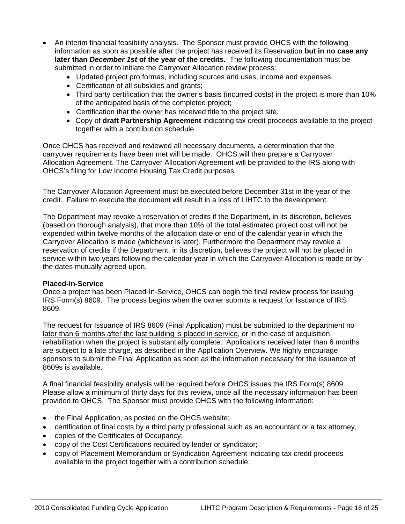- An interim financial feasibility analysis. The Sponsor must provide OHCS with the following information as soon as possible after the project has received its Reservation **but in no case any later than** *December 1st* **of the year of the credits.** The following documentation must be submitted in order to initiate the Carryover Allocation review process:
	- Updated project pro formas, including sources and uses, income and expenses.
	- Certification of all subsidies and grants;
	- Third party certification that the owner's basis (incurred costs) in the project is more than 10% of the anticipated basis of the completed project;
	- Certification that the owner has received title to the project site.
	- Copy of **draft Partnership Agreement** indicating tax credit proceeds available to the project together with a contribution schedule.

Once OHCS has received and reviewed all necessary documents, a determination that the carryover requirements have been met will be made. OHCS will then prepare a Carryover Allocation Agreement. The Carryover Allocation Agreement will be provided to the IRS along with OHCS's filing for Low Income Housing Tax Credit purposes.

The Carryover Allocation Agreement must be executed before December 31st in the year of the credit. Failure to execute the document will result in a loss of LIHTC to the development.

The Department may revoke a reservation of credits if the Department, in its discretion, believes (based on thorough analysis), that more than 10% of the total estimated project cost will not be expended within twelve months of the allocation date or end of the calendar year in which the Carryover Allocation is made (whichever is later). Furthermore the Department may revoke a reservation of credits if the Department, in its discretion, believes the project will not be placed in service within two years following the calendar year in which the Carryover Allocation is made or by the dates mutually agreed upon.

#### **Placed-in-Service**

Once a project has been Placed-In-Service, OHCS can begin the final review process for issuing IRS Form(s) 8609. The process begins when the owner submits a request for Issuance of IRS 8609.

The request for Issuance of IRS 8609 (Final Application) must be submitted to the department no later than 6 months after the last building is placed in service, or in the case of acquisition rehabilitation when the project is substantially complete. Applications received later than 6 months are subject to a late charge, as described in the Application Overview. We highly encourage sponsors to submit the Final Application as soon as the information necessary for the issuance of 8609s is available.

A final financial feasibility analysis will be required before OHCS issues the IRS Form(s) 8609. Please allow a minimum of thirty days for this review, once all the necessary information has been provided to OHCS. The Sponsor must provide OHCS with the following information:

- the Final Application, as posted on the OHCS website;
- certification of final costs by a third party professional such as an accountant or a tax attorney,
- copies of the Certificates of Occupancy;
- copy of the Cost Certifications required by lender or syndicator;
- copy of Placement Memorandum or Syndication Agreement indicating tax credit proceeds available to the project together with a contribution schedule;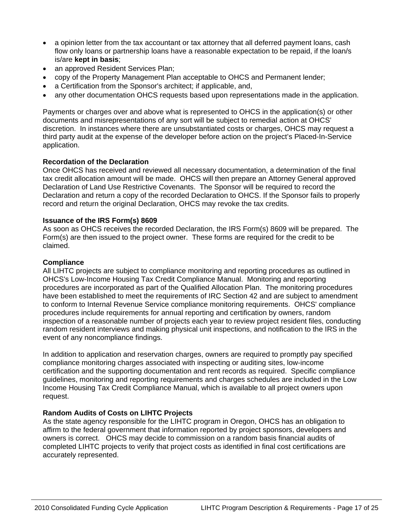- a opinion letter from the tax accountant or tax attorney that all deferred payment loans, cash flow only loans or partnership loans have a reasonable expectation to be repaid, if the loan/s is/are **kept in basis**;
- an approved Resident Services Plan;
- copy of the Property Management Plan acceptable to OHCS and Permanent lender;
- a Certification from the Sponsor's architect; if applicable, and,
- any other documentation OHCS requests based upon representations made in the application.

Payments or charges over and above what is represented to OHCS in the application(s) or other documents and misrepresentations of any sort will be subject to remedial action at OHCS' discretion. In instances where there are unsubstantiated costs or charges, OHCS may request a third party audit at the expense of the developer before action on the project's Placed-In-Service application.

# **Recordation of the Declaration**

Once OHCS has received and reviewed all necessary documentation, a determination of the final tax credit allocation amount will be made. OHCS will then prepare an Attorney General approved Declaration of Land Use Restrictive Covenants. The Sponsor will be required to record the Declaration and return a copy of the recorded Declaration to OHCS. If the Sponsor fails to properly record and return the original Declaration, OHCS may revoke the tax credits.

#### **Issuance of the IRS Form(s) 8609**

As soon as OHCS receives the recorded Declaration, the IRS Form(s) 8609 will be prepared. The Form(s) are then issued to the project owner. These forms are required for the credit to be claimed.

#### **Compliance**

All LIHTC projects are subject to compliance monitoring and reporting procedures as outlined in OHCS's Low-Income Housing Tax Credit Compliance Manual. Monitoring and reporting procedures are incorporated as part of the Qualified Allocation Plan. The monitoring procedures have been established to meet the requirements of IRC Section 42 and are subject to amendment to conform to Internal Revenue Service compliance monitoring requirements. OHCS' compliance procedures include requirements for annual reporting and certification by owners, random inspection of a reasonable number of projects each year to review project resident files, conducting random resident interviews and making physical unit inspections, and notification to the IRS in the event of any noncompliance findings.

In addition to application and reservation charges, owners are required to promptly pay specified compliance monitoring charges associated with inspecting or auditing sites, low-income certification and the supporting documentation and rent records as required. Specific compliance guidelines, monitoring and reporting requirements and charges schedules are included in the Low Income Housing Tax Credit Compliance Manual, which is available to all project owners upon request.

#### **Random Audits of Costs on LIHTC Projects**

As the state agency responsible for the LIHTC program in Oregon, OHCS has an obligation to affirm to the federal government that information reported by project sponsors, developers and owners is correct. OHCS may decide to commission on a random basis financial audits of completed LIHTC projects to verify that project costs as identified in final cost certifications are accurately represented.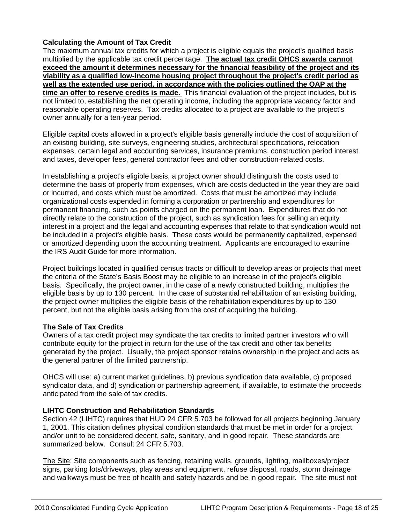# **Calculating the Amount of Tax Credit**

The maximum annual tax credits for which a project is eligible equals the project's qualified basis multiplied by the applicable tax credit percentage. **The actual tax credit OHCS awards cannot exceed the amount it determines necessary for the financial feasibility of the project and its viability as a qualified low-income housing project throughout the project's credit period as well as the extended use period, in accordance with the policies outlined the QAP at the time an offer to reserve credits is made.** This financial evaluation of the project includes, but is not limited to, establishing the net operating income, including the appropriate vacancy factor and reasonable operating reserves. Tax credits allocated to a project are available to the project's owner annually for a ten-year period.

Eligible capital costs allowed in a project's eligible basis generally include the cost of acquisition of an existing building, site surveys, engineering studies, architectural specifications, relocation expenses, certain legal and accounting services, insurance premiums, construction period interest and taxes, developer fees, general contractor fees and other construction-related costs.

In establishing a project's eligible basis, a project owner should distinguish the costs used to determine the basis of property from expenses, which are costs deducted in the year they are paid or incurred, and costs which must be amortized. Costs that must be amortized may include organizational costs expended in forming a corporation or partnership and expenditures for permanent financing, such as points charged on the permanent loan. Expenditures that do not directly relate to the construction of the project, such as syndication fees for selling an equity interest in a project and the legal and accounting expenses that relate to that syndication would not be included in a project's eligible basis. These costs would be permanently capitalized, expensed or amortized depending upon the accounting treatment. Applicants are encouraged to examine the IRS Audit Guide for more information.

Project buildings located in qualified census tracts or difficult to develop areas or projects that meet the criteria of the State's Basis Boost may be eligible to an increase in of the project's eligible basis. Specifically, the project owner, in the case of a newly constructed building, multiplies the eligible basis by up to 130 percent. In the case of substantial rehabilitation of an existing building, the project owner multiplies the eligible basis of the rehabilitation expenditures by up to 130 percent, but not the eligible basis arising from the cost of acquiring the building.

# **The Sale of Tax Credits**

Owners of a tax credit project may syndicate the tax credits to limited partner investors who will contribute equity for the project in return for the use of the tax credit and other tax benefits generated by the project. Usually, the project sponsor retains ownership in the project and acts as the general partner of the limited partnership.

OHCS will use: a) current market guidelines, b) previous syndication data available, c) proposed syndicator data, and d) syndication or partnership agreement, if available, to estimate the proceeds anticipated from the sale of tax credits.

# **LIHTC Construction and Rehabilitation Standards**

Section 42 (LIHTC) requires that HUD 24 CFR 5.703 be followed for all projects beginning January 1, 2001. This citation defines physical condition standards that must be met in order for a project and/or unit to be considered decent, safe, sanitary, and in good repair. These standards are summarized below. Consult 24 CFR 5.703.

The Site: Site components such as fencing, retaining walls, grounds, lighting, mailboxes/project signs, parking lots/driveways, play areas and equipment, refuse disposal, roads, storm drainage and walkways must be free of health and safety hazards and be in good repair. The site must not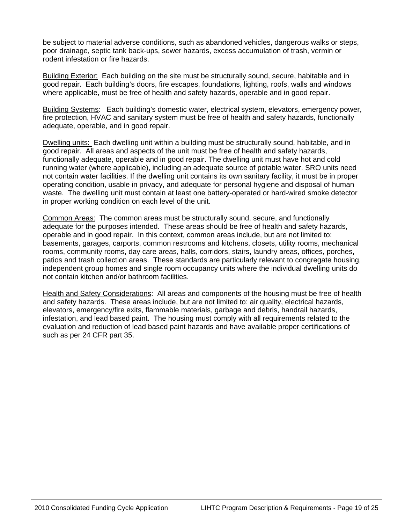be subject to material adverse conditions, such as abandoned vehicles, dangerous walks or steps, poor drainage, septic tank back-ups, sewer hazards, excess accumulation of trash, vermin or rodent infestation or fire hazards.

Building Exterior: Each building on the site must be structurally sound, secure, habitable and in good repair. Each building's doors, fire escapes, foundations, lighting, roofs, walls and windows where applicable, must be free of health and safety hazards, operable and in good repair.

Building Systems: Each building's domestic water, electrical system, elevators, emergency power, fire protection, HVAC and sanitary system must be free of health and safety hazards, functionally adequate, operable, and in good repair.

Dwelling units: Each dwelling unit within a building must be structurally sound, habitable, and in good repair. All areas and aspects of the unit must be free of health and safety hazards, functionally adequate, operable and in good repair. The dwelling unit must have hot and cold running water (where applicable), including an adequate source of potable water. SRO units need not contain water facilities. If the dwelling unit contains its own sanitary facility, it must be in proper operating condition, usable in privacy, and adequate for personal hygiene and disposal of human waste. The dwelling unit must contain at least one battery-operated or hard-wired smoke detector in proper working condition on each level of the unit.

Common Areas: The common areas must be structurally sound, secure, and functionally adequate for the purposes intended. These areas should be free of health and safety hazards, operable and in good repair. In this context, common areas include, but are not limited to: basements, garages, carports, common restrooms and kitchens, closets, utility rooms, mechanical rooms, community rooms, day care areas, halls, corridors, stairs, laundry areas, offices, porches, patios and trash collection areas. These standards are particularly relevant to congregate housing, independent group homes and single room occupancy units where the individual dwelling units do not contain kitchen and/or bathroom facilities.

Health and Safety Considerations: All areas and components of the housing must be free of health and safety hazards. These areas include, but are not limited to: air quality, electrical hazards, elevators, emergency/fire exits, flammable materials, garbage and debris, handrail hazards, infestation, and lead based paint. The housing must comply with all requirements related to the evaluation and reduction of lead based paint hazards and have available proper certifications of such as per 24 CFR part 35.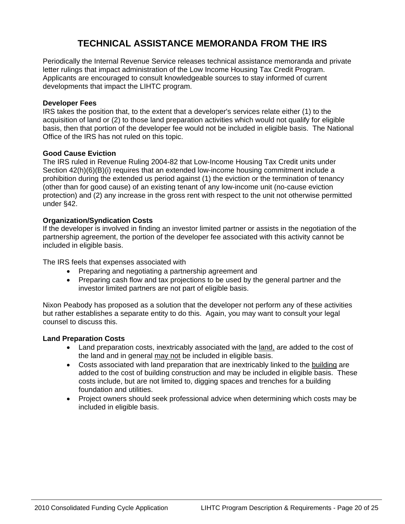# **TECHNICAL ASSISTANCE MEMORANDA FROM THE IRS**

Periodically the Internal Revenue Service releases technical assistance memoranda and private letter rulings that impact administration of the Low Income Housing Tax Credit Program. Applicants are encouraged to consult knowledgeable sources to stay informed of current developments that impact the LIHTC program.

# **Developer Fees**

IRS takes the position that, to the extent that a developer's services relate either (1) to the acquisition of land or (2) to those land preparation activities which would not qualify for eligible basis, then that portion of the developer fee would not be included in eligible basis. The National Office of the IRS has not ruled on this topic.

# **Good Cause Eviction**

The IRS ruled in Revenue Ruling 2004-82 that Low-Income Housing Tax Credit units under Section 42(h)(6)(B)(i) requires that an extended low-income housing commitment include a prohibition during the extended us period against (1) the eviction or the termination of tenancy (other than for good cause) of an existing tenant of any low-income unit (no-cause eviction protection) and (2) any increase in the gross rent with respect to the unit not otherwise permitted under §42.

# **Organization/Syndication Costs**

If the developer is involved in finding an investor limited partner or assists in the negotiation of the partnership agreement, the portion of the developer fee associated with this activity cannot be included in eligible basis.

The IRS feels that expenses associated with

- Preparing and negotiating a partnership agreement and
- Preparing cash flow and tax projections to be used by the general partner and the investor limited partners are not part of eligible basis.

Nixon Peabody has proposed as a solution that the developer not perform any of these activities but rather establishes a separate entity to do this. Again, you may want to consult your legal counsel to discuss this.

# **Land Preparation Costs**

- Land preparation costs, inextricably associated with the land, are added to the cost of the land and in general may not be included in eligible basis.
- Costs associated with land preparation that are inextricably linked to the building are added to the cost of building construction and may be included in eligible basis. These costs include, but are not limited to, digging spaces and trenches for a building foundation and utilities.
- Project owners should seek professional advice when determining which costs may be included in eligible basis.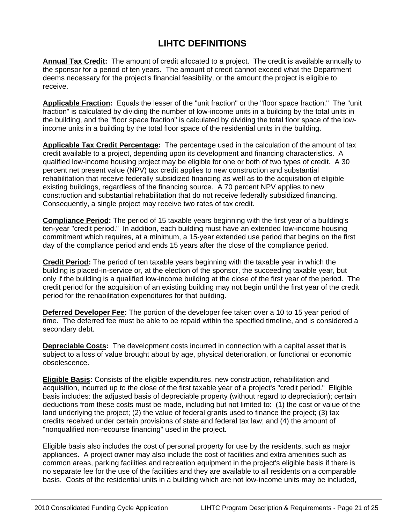# **LIHTC DEFINITIONS**

**Annual Tax Credit:** The amount of credit allocated to a project. The credit is available annually to the sponsor for a period of ten years. The amount of credit cannot exceed what the Department deems necessary for the project's financial feasibility, or the amount the project is eligible to receive.

**Applicable Fraction:** Equals the lesser of the "unit fraction" or the "floor space fraction." The "unit fraction" is calculated by dividing the number of low-income units in a building by the total units in the building, and the "floor space fraction" is calculated by dividing the total floor space of the lowincome units in a building by the total floor space of the residential units in the building.

**Applicable Tax Credit Percentage:** The percentage used in the calculation of the amount of tax credit available to a project, depending upon its development and financing characteristics. A qualified low-income housing project may be eligible for one or both of two types of credit. A 30 percent net present value (NPV) tax credit applies to new construction and substantial rehabilitation that receive federally subsidized financing as well as to the acquisition of eligible existing buildings, regardless of the financing source. A 70 percent NPV applies to new construction and substantial rehabilitation that do not receive federally subsidized financing. Consequently, a single project may receive two rates of tax credit.

**Compliance Period:** The period of 15 taxable years beginning with the first year of a building's ten-year "credit period." In addition, each building must have an extended low-income housing commitment which requires, at a minimum, a 15-year extended use period that begins on the first day of the compliance period and ends 15 years after the close of the compliance period.

**Credit Period:** The period of ten taxable years beginning with the taxable year in which the building is placed-in-service or, at the election of the sponsor, the succeeding taxable year, but only if the building is a qualified low-income building at the close of the first year of the period. The credit period for the acquisition of an existing building may not begin until the first year of the credit period for the rehabilitation expenditures for that building.

**Deferred Developer Fee:** The portion of the developer fee taken over a 10 to 15 year period of time. The deferred fee must be able to be repaid within the specified timeline, and is considered a secondary debt.

**Depreciable Costs:** The development costs incurred in connection with a capital asset that is subject to a loss of value brought about by age, physical deterioration, or functional or economic obsolescence.

**Eligible Basis:** Consists of the eligible expenditures, new construction, rehabilitation and acquisition, incurred up to the close of the first taxable year of a project's "credit period." Eligible basis includes: the adjusted basis of depreciable property (without regard to depreciation); certain deductions from these costs must be made, including but not limited to: (1) the cost or value of the land underlying the project; (2) the value of federal grants used to finance the project; (3) tax credits received under certain provisions of state and federal tax law; and (4) the amount of "nonqualified non-recourse financing" used in the project.

Eligible basis also includes the cost of personal property for use by the residents, such as major appliances. A project owner may also include the cost of facilities and extra amenities such as common areas, parking facilities and recreation equipment in the project's eligible basis if there is no separate fee for the use of the facilities and they are available to all residents on a comparable basis. Costs of the residential units in a building which are not low-income units may be included,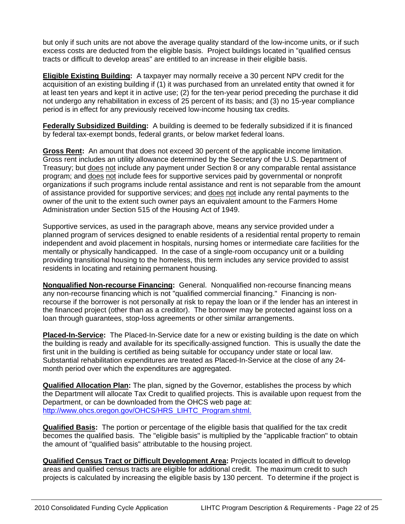but only if such units are not above the average quality standard of the low-income units, or if such excess costs are deducted from the eligible basis. Project buildings located in "qualified census tracts or difficult to develop areas" are entitled to an increase in their eligible basis.

**Eligible Existing Building:** A taxpayer may normally receive a 30 percent NPV credit for the acquisition of an existing building if (1) it was purchased from an unrelated entity that owned it for at least ten years and kept it in active use; (2) for the ten-year period preceding the purchase it did not undergo any rehabilitation in excess of 25 percent of its basis; and (3) no 15-year compliance period is in effect for any previously received low-income housing tax credits.

**Federally Subsidized Building:** A building is deemed to be federally subsidized if it is financed by federal tax-exempt bonds, federal grants, or below market federal loans.

**Gross Rent:** An amount that does not exceed 30 percent of the applicable income limitation. Gross rent includes an utility allowance determined by the Secretary of the U.S. Department of Treasury; but does not include any payment under Section 8 or any comparable rental assistance program; and does not include fees for supportive services paid by governmental or nonprofit organizations if such programs include rental assistance and rent is not separable from the amount of assistance provided for supportive services; and does not include any rental payments to the owner of the unit to the extent such owner pays an equivalent amount to the Farmers Home Administration under Section 515 of the Housing Act of 1949.

Supportive services, as used in the paragraph above, means any service provided under a planned program of services designed to enable residents of a residential rental property to remain independent and avoid placement in hospitals, nursing homes or intermediate care facilities for the mentally or physically handicapped. In the case of a single-room occupancy unit or a building providing transitional housing to the homeless, this term includes any service provided to assist residents in locating and retaining permanent housing.

**Nonqualified Non-recourse Financing:** General. Nonqualified non-recourse financing means any non-recourse financing which is not "qualified commercial financing." Financing is nonrecourse if the borrower is not personally at risk to repay the loan or if the lender has an interest in the financed project (other than as a creditor). The borrower may be protected against loss on a loan through guarantees, stop-loss agreements or other similar arrangements.

**Placed-In-Service:** The Placed-In-Service date for a new or existing building is the date on which the building is ready and available for its specifically-assigned function. This is usually the date the first unit in the building is certified as being suitable for occupancy under state or local law. Substantial rehabilitation expenditures are treated as Placed-In-Service at the close of any 24 month period over which the expenditures are aggregated.

**Qualified Allocation Plan:** The plan, signed by the Governor, establishes the process by which the Department will allocate Tax Credit to qualified projects. This is available upon request from the Department, or can be downloaded from the OHCS web page at: [http://www.ohcs.oregon.gov/OHCS/HRS\\_LIHTC\\_Program.shtml.](http://www.ohcs.oregon.gov/OHCS/HRS_LIHTC_Program.shtml.)

**Qualified Basis:** The portion or percentage of the eligible basis that qualified for the tax credit becomes the qualified basis. The "eligible basis" is multiplied by the "applicable fraction" to obtain the amount of "qualified basis" attributable to the housing project.

**Qualified Census Tract or Difficult Development Area:** Projects located in difficult to develop areas and qualified census tracts are eligible for additional credit. The maximum credit to such projects is calculated by increasing the eligible basis by 130 percent. To determine if the project is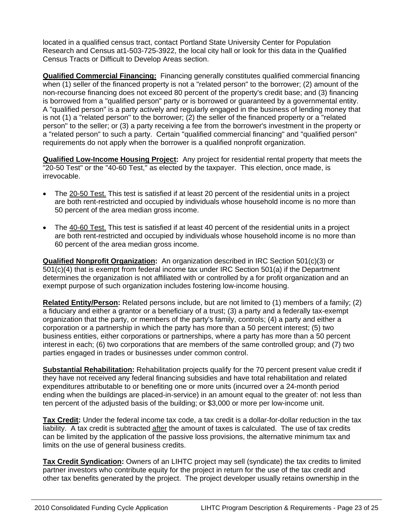located in a qualified census tract, contact Portland State University Center for Population Research and Census at1-503-725-3922, the local city hall or look for this data in the Qualified Census Tracts or Difficult to Develop Areas section.

**Qualified Commercial Financing:** Financing generally constitutes qualified commercial financing when (1) seller of the financed property is not a "related person" to the borrower; (2) amount of the non-recourse financing does not exceed 80 percent of the property's credit base; and (3) financing is borrowed from a "qualified person" party or is borrowed or guaranteed by a governmental entity. A "qualified person" is a party actively and regularly engaged in the business of lending money that is not (1) a "related person" to the borrower; (2) the seller of the financed property or a "related person" to the seller; or (3) a party receiving a fee from the borrower's investment in the property or a "related person" to such a party. Certain "qualified commercial financing" and "qualified person" requirements do not apply when the borrower is a qualified nonprofit organization.

**Qualified Low-Income Housing Project:** Any project for residential rental property that meets the "20-50 Test" or the "40-60 Test," as elected by the taxpayer. This election, once made, is irrevocable.

- The 20-50 Test. This test is satisfied if at least 20 percent of the residential units in a project are both rent-restricted and occupied by individuals whose household income is no more than 50 percent of the area median gross income.
- The 40-60 Test. This test is satisfied if at least 40 percent of the residential units in a project are both rent-restricted and occupied by individuals whose household income is no more than 60 percent of the area median gross income.

**Qualified Nonprofit Organization:** An organization described in IRC Section 501(c)(3) or 501(c)(4) that is exempt from federal income tax under IRC Section 501(a) if the Department determines the organization is not affiliated with or controlled by a for profit organization and an exempt purpose of such organization includes fostering low-income housing.

**Related Entity/Person:** Related persons include, but are not limited to (1) members of a family; (2) a fiduciary and either a grantor or a beneficiary of a trust; (3) a party and a federally tax-exempt organization that the party, or members of the party's family, controls; (4) a party and either a corporation or a partnership in which the party has more than a 50 percent interest; (5) two business entities, either corporations or partnerships, where a party has more than a 50 percent interest in each; (6) two corporations that are members of the same controlled group; and (7) two parties engaged in trades or businesses under common control.

**Substantial Rehabilitation:** Rehabilitation projects qualify for the 70 percent present value credit if they have not received any federal financing subsidies and have total rehabilitation and related expenditures attributable to or benefiting one or more units (incurred over a 24-month period ending when the buildings are placed-in-service) in an amount equal to the greater of: not less than ten percent of the adjusted basis of the building; or \$3,000 or more per low-income unit.

**Tax Credit:** Under the federal income tax code, a tax credit is a dollar-for-dollar reduction in the tax liability. A tax credit is subtracted after the amount of taxes is calculated. The use of tax credits can be limited by the application of the passive loss provisions, the alternative minimum tax and limits on the use of general business credits.

**Tax Credit Syndication:** Owners of an LIHTC project may sell (syndicate) the tax credits to limited partner investors who contribute equity for the project in return for the use of the tax credit and other tax benefits generated by the project. The project developer usually retains ownership in the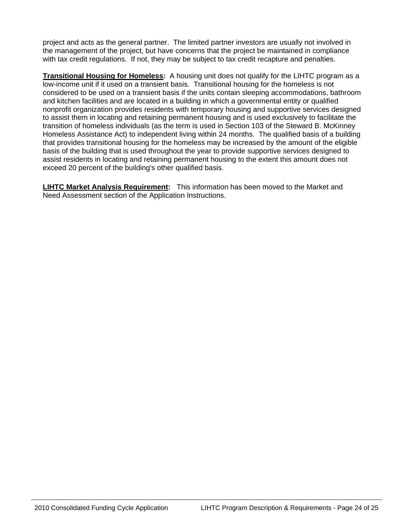project and acts as the general partner. The limited partner investors are usually not involved in the management of the project, but have concerns that the project be maintained in compliance with tax credit regulations. If not, they may be subject to tax credit recapture and penalties.

**Transitional Housing for Homeless:** A housing unit does not qualify for the LIHTC program as a low-income unit if it used on a transient basis. Transitional housing for the homeless is not considered to be used on a transient basis if the units contain sleeping accommodations, bathroom and kitchen facilities and are located in a building in which a governmental entity or qualified nonprofit organization provides residents with temporary housing and supportive services designed to assist them in locating and retaining permanent housing and is used exclusively to facilitate the transition of homeless individuals (as the term is used in Section 103 of the Steward B. McKinney Homeless Assistance Act) to independent living within 24 months. The qualified basis of a building that provides transitional housing for the homeless may be increased by the amount of the eligible basis of the building that is used throughout the year to provide supportive services designed to assist residents in locating and retaining permanent housing to the extent this amount does not exceed 20 percent of the building's other qualified basis.

**LIHTC Market Analysis Requirement:** This information has been moved to the Market and Need Assessment section of the Application Instructions.